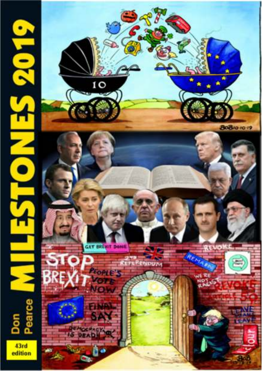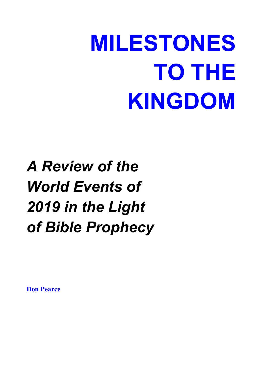# **MILESTONES TO THE KINGDOM**

# *A Review of the World Events of 2019 in the Light of Bible Prophecy*

**Don Pearce**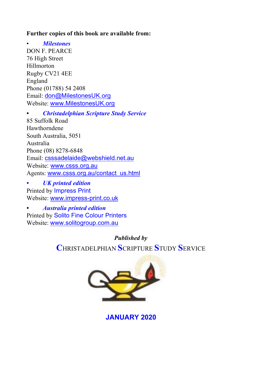#### **Further copies of this book are available from:**

• *Milestones* DON F. PEARCE 76 High Street Hillmorton Rugby CV21 4EE England Phone (01788) 54 2408 Email: don@MilestonesUK.org Website: www.MilestonesUK.org

*• Christadelphian Scripture Study Service*

85 Suffolk Road Hawthorndene South Australia, 5051 Australia Phone (08) 8278-6848 Email: csssadelaide@webshield.net.au Website: www.csss.org.au Agents: www.csss.org.au/contact\_us.html

*• UK printed edition*  Printed by Impress Print Website: www.impress-print.co.uk

*• Australia printed edition*  Printed by Solito Fine Colour Printers Website: www.solitogroup.com.au

> *Published by*  **C**HRISTADELPHIAN **S**CRIPTURE **S**TUDY **S**ERVICE



**JANUARY 2020**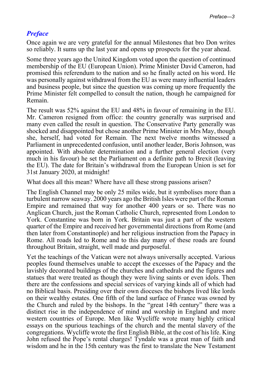#### *Preface*

Once again we are very grateful for the annual Milestones that bro Don writes so reliably. It sums up the last year and opens up prospects for the year ahead.

Some three years ago the United Kingdom voted upon the question of continued membership of the EU (European Union). Prime Minister David Cameron, had promised this referendum to the nation and so he finally acted on his word. He was personally against withdrawal from the EU as were many influential leaders and business people, but since the question was coming up more frequently the Prime Minister felt compelled to consult the nation, though he campaigned for Remain.

The result was 52% against the EU and 48% in favour of remaining in the EU. Mr. Cameron resigned from office: the country generally was surprised and many even called the result in question. The Conservative Party generally was shocked and disappointed but chose another Prime Minister in Mrs May, though she, herself, had voted for Remain. The next twelve months witnessed a Parliament in unprecedented confusion, until another leader, Boris Johnson, was appointed. With absolute determination and a further general election (very much in his favour) he set the Parliament on a definite path to Brexit (leaving the EU). The date for Britain's withdrawal from the European Union is set for 31st January 2020, at midnight!

What does all this mean? Where have all these strong passions arisen?

The English Channel may be only 25 miles wide, but it symbolises more than a turbulent narrow seaway. 2000 years ago the British Isles were part of the Roman Empire and remained that way for another 400 years or so. There was no Anglican Church, just the Roman Catholic Church, represented from London to York. Constantine was born in York. Britain was just a part of the western quarter of the Empire and received her governmental directions from Rome (and then later from Constantinople) and her religious instruction from the Papacy in Rome. All roads led to Rome and to this day many of these roads are found throughout Britain, straight, well made and purposeful.

Yet the teachings of the Vatican were not always universally accepted. Various peoples found themselves unable to accept the excesses of the Papacy and the lavishly decorated buildings of the churches and cathedrals and the figures and statues that were treated as though they were living saints or even idols. Then there are the confessions and special services of varying kinds all of which had no Biblical basis. Presiding over their own dioceses the bishops lived like lords on their wealthy estates. One fifth of the land surface of France was owned by the Church and ruled by the bishops. In the "great 14th century" there was a distinct rise in the independence of mind and worship in England and more western countries of Europe. Men like Wycliffe wrote many highly critical essays on the spurious teachings of the church and the mental slavery of the congregations. Wycliffe wrote the first English Bible, at the cost of his life. King John refused the Pope's rental charges! Tyndale was a great man of faith and wisdom and he in the 15th century was the first to translate the New Testament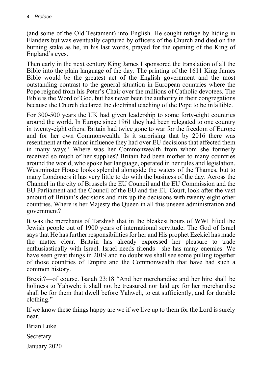(and some of the Old Testament) into English. He sought refuge by hiding in Flanders but was eventually captured by officers of the Church and died on the burning stake as he, in his last words, prayed for the opening of the King of England's eyes.

Then early in the next century King James I sponsored the translation of all the Bible into the plain language of the day. The printing of the 1611 King James Bible would be the greatest act of the English government and the most outstanding contrast to the general situation in European countries where the Pope reigned from his Peter's Chair over the millions of Catholic devotees. The Bible is the Word of God, but has never been the authority in their congregations because the Church declared the doctrinal teaching of the Pope to be infallible.

For 300-500 years the UK had given leadership to some forty-eight countries around the world. In Europe since 1961 they had been relegated to one country in twenty-eight others. Britain had twice gone to war for the freedom of Europe and for her own Commonwealth. Is it surprising that by 2016 there was resentment at the minor influence they had over EU decisions that affected them in many ways? Where was her Commonwealth from whom she formerly received so much of her supplies? Britain had been mother to many countries around the world, who spoke her language, operated in her rules and legislation. Westminster House looks splendid alongside the waters of the Thames, but to many Londoners it has very little to do with the business of the day. Across the Channel in the city of Brussels the EU Council and the EU Commission and the EU Parliament and the Council of the EU and the EU Court, look after the vast amount of Britain's decisions and mix up the decisions with twenty-eight other countries. Where is her Majesty the Queen in all this unseen administration and government?

It was the merchants of Tarshish that in the bleakest hours of WWI lifted the Jewish people out of 1900 years of international servitude. The God of Israel says that He has further responsibilities for her and His prophet Ezekiel has made the matter clear. Britain has already expressed her pleasure to trade enthusiastically with Israel. Israel needs friends—she has many enemies. We have seen great things in 2019 and no doubt we shall see some pulling together of those countries of Empire and the Commonwealth that have had such a common history.

Brexit?—of course. Isaiah 23:18 "And her merchandise and her hire shall be holiness to Yahweh: it shall not be treasured nor laid up; for her merchandise shall be for them that dwell before Yahweh, to eat sufficiently, and for durable clothing."

If we know these things happy are we if we live up to them for the Lord is surely near.

Brian Luke

Secretary

January 2020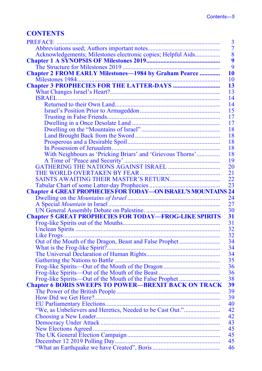#### **CONTENTS**

|                                                               | 3               |
|---------------------------------------------------------------|-----------------|
|                                                               | $\overline{7}$  |
| Acknowledgements; Milestones electronic copies; Helpful Aids  | $\overline{8}$  |
|                                                               | $\overline{9}$  |
|                                                               | $\overline{9}$  |
|                                                               | 10              |
|                                                               | 10              |
|                                                               | 13              |
|                                                               | 13              |
|                                                               | 14              |
|                                                               | 14              |
|                                                               | 15              |
|                                                               | 17              |
|                                                               | 17              |
|                                                               | 18              |
|                                                               | 18              |
|                                                               | 18              |
|                                                               | 18              |
| With Neighbours as 'Pricking Briars' and 'Grievous Thorns'    | 18              |
|                                                               | 19              |
|                                                               | 20              |
|                                                               | 21              |
|                                                               | $\overline{22}$ |
|                                                               |                 |
|                                                               |                 |
|                                                               | 24              |
|                                                               | $\overline{27}$ |
|                                                               | 30              |
| <b>Chapter 5 GREAT PROPHECIES FOR TODAY-FROG-LIKE SPIRITS</b> | 31              |
|                                                               | 31              |
|                                                               |                 |
|                                                               |                 |
|                                                               | 32              |
|                                                               | 32              |
| Out of the Mouth of the Dragon, Beast and False Prophet       | 34              |
|                                                               | 34              |
|                                                               | 34              |
|                                                               | 35              |
|                                                               | 36              |
|                                                               | 36              |
| Frog-like Spirits—Out of the Mouth of the False Prophet       | 38              |
| <b>Chapter 6 BORIS SWEEPS TO POWER-BREXIT BACK ON TRACK</b>   | 39              |
|                                                               | 39              |
|                                                               | 39              |
|                                                               | 40              |
|                                                               | 42              |
|                                                               | 42              |
|                                                               | 43              |
|                                                               | 45              |
|                                                               | 45              |
|                                                               | 45<br>46        |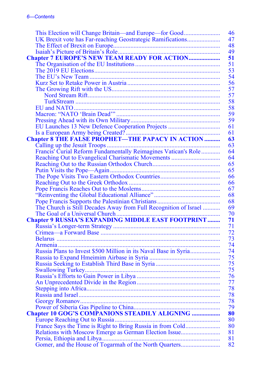| This Election will Change Britain—and Europe—for Good           | 46       |
|-----------------------------------------------------------------|----------|
| UK Brexit vote has Far-reaching Geostrategic Ramifications      | 47       |
|                                                                 | 48       |
|                                                                 | 49       |
|                                                                 | 51       |
|                                                                 | 51       |
|                                                                 | 53       |
|                                                                 | 54       |
|                                                                 | 56       |
|                                                                 | 57       |
|                                                                 | 57       |
|                                                                 | 58       |
|                                                                 | 58       |
|                                                                 | 59       |
|                                                                 | 59       |
| EU Launches 13 New Defence Cooperation Projects                 | 61       |
|                                                                 | 61       |
|                                                                 | 63       |
|                                                                 | 63       |
| Francis' Curial Reform Fundamentally Reimagines Vatican's Role  | 64       |
| Reaching Out to Evangelical Charismatic Movements               | 64       |
|                                                                 | 65       |
|                                                                 | 65       |
|                                                                 | 66       |
|                                                                 | 66       |
|                                                                 | 67       |
|                                                                 | 68       |
|                                                                 | 68       |
|                                                                 | 69       |
|                                                                 | 70       |
| <b>Chapter 9 RUSSIA'S EXPANDING MIDDLE EAST FOOTPRINT</b>       | 71       |
|                                                                 | 71       |
|                                                                 | 72       |
|                                                                 | 73       |
|                                                                 | 74<br>74 |
| Russia Plans to Invest \$500 Million in its Naval Base in Syria |          |
|                                                                 | 75<br>75 |
|                                                                 | 75       |
|                                                                 |          |
|                                                                 | 76<br>77 |
|                                                                 | 78       |
|                                                                 | 78       |
|                                                                 | 78       |
|                                                                 | 79       |
| <b>Chapter 10 GOG'S COMPANIONS STEADILY ALIGNING </b>           | 80       |
|                                                                 | 80       |
| France Says the Time is Right to Bring Russia in from Cold      | 80       |
| Relations with Moscow Emerge as German Election Issue           | 81       |
|                                                                 | 81       |
|                                                                 | 82       |
|                                                                 |          |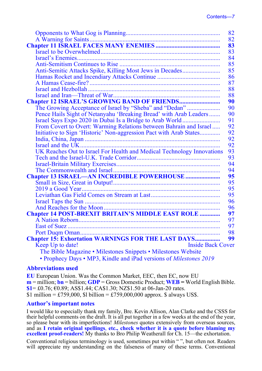|                                                                        | 82 |
|------------------------------------------------------------------------|----|
|                                                                        | 82 |
|                                                                        | 83 |
|                                                                        | 83 |
|                                                                        | 84 |
|                                                                        | 85 |
| Anti-Semitic Attacks Spike, Killing Most Jews in Decades               | 85 |
|                                                                        | 86 |
|                                                                        | 87 |
|                                                                        | 88 |
|                                                                        | 88 |
|                                                                        | 90 |
|                                                                        | 90 |
| Pence Hails Sight of Netanyahu 'Breaking Bread' with Arab Leaders      | 90 |
| Israel Says Expo 2020 in Dubai Is a Bridge to Arab World               | 91 |
| From Covert to Overt: Warming Relations between Bahrain and Israel     | 92 |
| Initiative to Sign 'Historic' Non-aggression Pact with Arab States     | 92 |
|                                                                        | 92 |
|                                                                        | 92 |
| UK Reaches Out to Israel For Health and Medical Technology Innovations | 93 |
|                                                                        | 93 |
|                                                                        | 94 |
|                                                                        | 94 |
|                                                                        | 95 |
|                                                                        | 95 |
|                                                                        | 95 |
|                                                                        | 95 |
|                                                                        | 96 |
|                                                                        | 96 |
| Chapter 14 POST-BREXIT BRITAIN'S MIDDLE EAST ROLE                      | 97 |
|                                                                        | 97 |
|                                                                        | 97 |
|                                                                        | 98 |
| <b>Chapter 15: Exhortation WARNINGS FOR THE LAST DAYS</b>              | 99 |
| <b>Inside Back Cover</b><br>Keep Up to date!                           |    |
| The Bible Magazine • Milestones Snippets • Milestones Website          |    |
| • Prophecy Days • MP3, Kindle and iPad versions of Milestones 2019     |    |

#### **Abbreviations used**

**EU** European Union. Was the Common Market, EEC, then EC, now EU **m** = million; **bn** = billion; **GDP** = Gross Domestic Product; **WEB =** World English Bible. **\$1**= £0.76; €0.89; AS\$1.44; CA\$1.30; NZ\$1.50 at 06-Jan-20 rates. \$1 million = £759,000, \$1 billion = £759,000,000 approx. \$ always US\$.

#### **Author's important notes**

I would like to especially thank my family, Bre. Kevin Allison, Alan Clarke and the CSSS for their helpful comments on the draft. It is all put together in a few weeks at the end of the year, so please bear with its imperfections! *Milestones* quotes extensively from overseas sources, and as **I retain original spellings**, **etc., check whether it is a quote before blaming my excellent proof-readers!** My thanks to Bro Philip Weatherall for Ch. 15—the exhortation.

Conventional religious terminology is used, sometimes put within " ", but often not. Readers will appreciate my understanding on the falseness of many of these terms. Conventional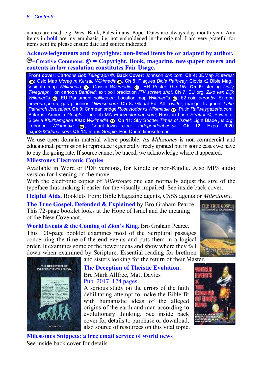names are used: e.g. West Bank, Palestinians, Pope. Dates are always day-month-year. Any items in **bold** are my emphasis, i.e. not emboldened in the original. I am very grateful for items sent in; please ensure date and source indicated.

**Acknowledgements and copyrights; non-listed items by or adapted by author. =Creative Commons. © = Copyright. Book, magazine, newspaper covers and contents in low resolution constitutes Fair Usage.**

**Front cover:** Cartoons *Bob Telegraph* ©. **Back Cover:** Johnson *cnn.com*. **Ch 4:** 3DMap *Pinterest* ; Oslo Map *Morag m Kersal, Wikimedia* . **Ch 5:** Plagues *Bible Pathway*; Clovis x2 Bible Mag.; Visigoth map *Wikimedia* **@**; Cassin *Wikimedia* @; HR Poster *The UN.* Ch 6: sterling *Daily Telegraph*; lion cartoon *Banfield*; exit poll prediction *ITV screen shot.* **Ch 7:** EU org. *Ziko van Dijk Wikimedia <sub>®</sub>*; EU Parliament *politico.eu*; Location map *Wikimedia* **®**; €2 coin *euroobv*; Europa *neweurope.eu*; gas pipelines *OilPrice.com*. **Ch 8:** Global Ed. All. *Twitter*; manger fragment *Latin Patriarch Jerusalem.* **Ch 9:** Crimean bridge *Rosavtodor.ru Wikimedia* ; Putin *Railwaygazette.com*; Belarus, Armenia *Google*; Turk-Lib MA *Freevectormap.com*; Russian base *Stratfor* ©; Power of Siberia *Khu'hamgaba Kitap Wikimedia .* **Ch 11:** Sky Spotter *Times of Israel*; Light Blade *jns.org*; Lebanon *Wikimedia* ; Count-down clock *independent.co.uk.* **Ch 12:** Expo 2020 *expo2020dubai.com*; **Ch 14:** maps *Google*; Port Duqm timesofoman*.*

We use open domain material where possible. As *Milestones* is non-commercial and educational, permission to reproduce is generally freely granted but in some cases we have to pay the going rate. If source cannot be traced, we acknowledge where it appeared.

#### **Milestones Electronic Copies**

Available in Word or PDF versions, for Kindle or non-Kindle. Also MP3 audio version for listening on the move.

With the electronic copies of *Milestones* one can normally adjust the size of the typeface thus making it easier for the visually impaired. See inside back cover.

**Helpful Aids.** Booklets from: Bible Magazine agents, CSSS agents or *Milestones*.

**The True Gospel. Defended & Explained** by Bro Graham Pearce. This 72-page booklet looks at the Hope of Israel and the meaning of the New Covenant.

**World Events & the Coming of Zion's King.** Bro Graham Pearce. This 100-page booklet examines most of the Scriptural passages concerning the time of the end events and puts them in a logical order. It examines some of the newer ideas and show where they fall down when examined by Scripture. Essential reading for brethren





Pub. 2017. 174 pages A serious study on the errors of the faith debilitating attempt to make the Bible fit with humanistic ideas of the alleged origins of the earth and man according to evolutionary thinking. See inside back cover for details to purchase or download, also source of resources on this vital topic.



**Milestones Snippets: a free email service of world news**  See inside back cover for details.